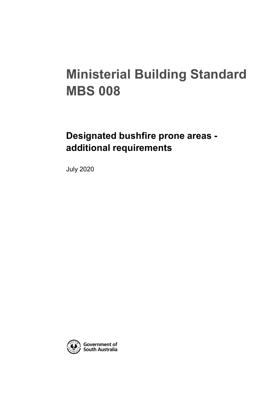# **Ministerial Building Standard MBS 008**

# **Designated bushfire prone areas additional requirements**

July 2020

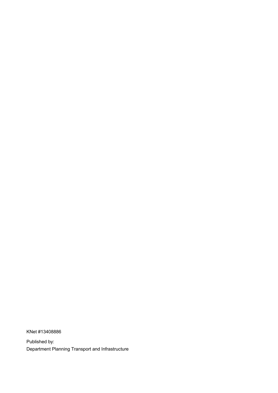KNet #13408886

Published by: Department Planning Transport and Infrastructure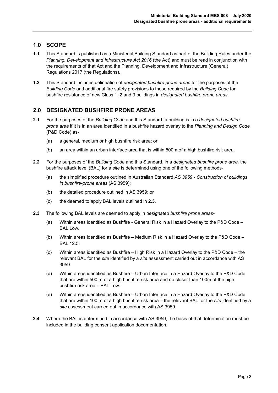# **1.0 SCOPE**

- **1.1** This Standard is published as a Ministerial Building Standard as part of the Building Rules under the *Planning, Development and Infrastructure Act 2016* (the Act) and must be read in conjunction with the requirements of that Act and the Planning, Development and Infrastructure (General) Regulations 2017 (the Regulations).
- **1.2** This Standard includes delineation of *designated bushfire prone areas* for the purposes of the *Building Code* and additional fire safety provisions to those required by the *Building Code* for bushfire resistance of new Class 1, 2 and 3 buildings in *designated bushfire prone areas*.

# **2.0 DESIGNATED BUSHFIRE PRONE AREAS**

- **2.1** For the purposes of the *Building Code* and this Standard, a building is in a *designated bushfire prone area* if it is in an area identified in a bushfire hazard overlay to the *Planning and Design Code* (P&D Code) as-
	- (a) a general, medium or high bushfire risk area; or
	- (b) an area within an urban interface area that is within 500m of a high bushfire risk area.
- **2.2** For the purposes of the *Building Code* and this Standard, in a *designated bushfire prone area,* the bushfire attack level (BAL) for a *site* is determined using one of the following methods-
	- (a) the simplified procedure outlined in Australian Standard *AS 3959 - Construction of buildings in bushfire-prone areas* (AS 3959);
	- (b) the detailed procedure outlined in AS 3959; or
	- (c) the deemed to apply BAL levels outlined in **2.3**.
- **2.3** The following BAL levels are deemed to apply in *designated bushfire prone areas-*
	- (a) Within areas identified as Bushfire General Risk in a Hazard Overlay to the P&D Code BAL Low
	- (b) Within areas identified as Bushfire Medium Risk in a Hazard Overlay to the P&D Code BAL 12.5.
	- (c) Within areas identified as Bushfire High Risk in a Hazard Overlay to the P&D Code the relevant BAL for the *site* identified by a *site* assessment carried out in accordance with AS 3959.
	- (d) Within areas identified as Bushfire Urban Interface in a Hazard Overlay to the P&D Code that are within 500 m of a high bushfire risk area and no closer than 100m of the high bushfire risk area – BAL Low.
	- (e) Within areas identified as Bushfire Urban Interface in a Hazard Overlay to the P&D Code that are within 100 m of a high bushfire risk area – the relevant BAL for the *site* identified by a *site* assessment carried out in accordance with AS 3959.
- **2.4** Where the BAL is determined in accordance with AS 3959, the basis of that determination must be included in the building consent application documentation.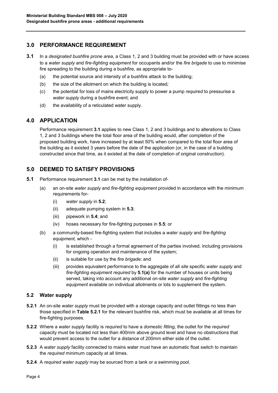# **3.0 PERFORMANCE REQUIREMENT**

- **3.1** In a *designated bushfire prone area*, a Class 1, 2 and 3 building must be provided with or have access to a *water supply* and *fire-fighting equipment* for occupants and/or the *fire brigade* to use to minimise fire spreading to the building during a bushfire, as appropriate to-
	- (a) the potential source and intensity of a bushfire attack to the building;
	- (b) the size of the allotment on which the building is located*;*
	- (c) the potential for loss of mains electricity supply to power a pump *required* to pressurise a *water supply* during a bushfire event; and
	- (d) the availability of a reticulated water supply.

# **4.0 APPLICATION**

Performance requirement **3.1** applies to new Class 1, 2 and 3 buildings and to alterations to Class 1, 2 and 3 buildings where the total floor area of the building would, after completion of the proposed building work, have increased by at least 50% when compared to the total floor area of the building as it existed 3 years before the date of the application (or, in the case of a building constructed since that time, as it existed at the date of completion of original construction).

# **5.0 DEEMED TO SATISFY PROVISIONS**

- **5.1** Performance requirement **3.1** can be met by the installation of-
	- (a) an on-site *water supply* and *fire-fighting equipment* provided in accordance with the minimum requirements for-
		- (i) *water supply* in **5.2**;
		- (ii) adequate pumping system in **5.3**;
		- (iii) pipework in **5.4**; and
		- (iv) hoses necessary for fire-fighting purposes in **5.5**; or
	- (b) a community-based fire-fighting system that includes a *water supply* and *fire-fighting equipment,* which -
		- (i) is established through a formal agreement of the parties involved, including provisions for ongoing operation and maintenance of the system;
		- (ii) is suitable for use by the *fire brigade;* and
		- (iii) provides equivalent performance to the aggregate of all *site* specific *water supply* and *fire-fighting equipment required* by **5.1(a)** for the number of houses or units being served, taking into account any additional on-site *water supply* and *fire-fighting equipment* available on individual allotments or lots to supplement the system.

### **5.2 Water supply**

- **5.2.1** An on-site *water supply* must be provided with a storage capacity and outlet fittings no less than those specified in **Table 5.2.1** for the relevant bushfire risk, which must be available at all times for fire-fighting purposes.
- **5.2.2** Where a *water supply* facility is *required* to have a *domestic fitting*, the outlet for the *required*  capacity must be located not less than 400mm above ground level and have no obstructions that would prevent access to the outlet for a distance of 200mm either side of the outlet.
- **5.2.3** A *water supply* facility connected to mains water must have an automatic float switch to maintain the *required* minimum capacity at all times.
- **5.2.4** A *required water supply* may be sourced from a tank or a swimming pool.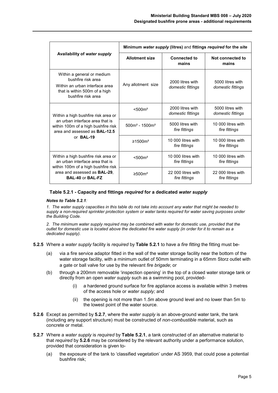| Availability of water supply                                                                                                                                                     | Minimum water supply (litres) and fittings required for the site |                                       |                                       |
|----------------------------------------------------------------------------------------------------------------------------------------------------------------------------------|------------------------------------------------------------------|---------------------------------------|---------------------------------------|
|                                                                                                                                                                                  | <b>Allotment size</b>                                            | <b>Connected to</b><br>mains          | Not connected to<br>mains             |
| Within a general or medium<br>bushfire risk area<br>Within an urban interface area<br>that is within 500m of a high<br>bushfire risk area                                        | Any allotment size                                               | 2000 litres with<br>domestic fittings | 5000 litres with<br>domestic fittings |
| Within a high bushfire risk area or<br>an urban interface area that is<br>within 100m of a high bushfire risk<br>area and assessed as <b>BAL-12.5</b><br>or BAL-19               | < 500 m <sup>2</sup>                                             | 2000 litres with<br>domestic fittings | 5000 litres with<br>domestic fittings |
|                                                                                                                                                                                  | $500m2 - 1500m2$                                                 | 5000 litres with<br>fire fittings     | 10,000 litres with<br>fire fittings   |
|                                                                                                                                                                                  | ≥1500m <sup>2</sup>                                              | 10,000 litres with<br>fire fittings   | 10,000 litres with<br>fire fittings   |
| Within a high bushfire risk area or<br>an urban interface area that is<br>within 100m of a high bushfire risk<br>area and assessed as <b>BAL-29</b> ,<br><b>BAL-40 or BAL-FZ</b> | < 500 m <sup>2</sup>                                             | 10 000 litres with<br>fire fittings   | 10 000 litres with<br>fire fittings   |
|                                                                                                                                                                                  | $\geq 500$ m <sup>2</sup>                                        | 22.000 litres with<br>fire fittings   | 22 000 litres with<br>fire fittings   |

#### **Table 5.2.1 - Capacity and fittings** *required* **for a dedicated** *water supply*

#### *Notes to Table 5.2.1:*

*1. The water supply capacities in this table do not take into account any water that might be needed to supply a non-required sprinkler protection system or water tanks required for water saving purposes under the Building Code.*

*2. The minimum water supply required may be combined with water for domestic use, provided that the outlet for domestic use is located above the dedicated fire water supply (in order for it to remain as a dedicated supply).*

- **5.2.5** Where a *water supply* facility is *required* by **Table 5.2.1** to have a *fire fitting* the fitting must be-
	- (a) via a fire service adaptor fitted in the wall of the water storage facility near the bottom of the water storage facility, with a minimum outlet of 50mm terminating in a 65mm Storz outlet with a gate or ball valve for use by the relevant *fire brigade*; or
	- (b) through a 200mm removable 'inspection opening' in the top of a closed water storage tank or directly from an open *water supply* such as a swimming pool, provided
		- a hardened ground surface for fire appliance access is available within 3 metres of the access hole or *water supply;* and
		- (ii) the opening is not more than 1.*5m* above ground level and no lower than 5m to the lowest point of the water source.
- **5.2.6** Except as permitted by **5.2.7**, where the *water supply* is an above-ground water tank, the tank (including any support structure) must be constructed of *non-combustible* material, such as concrete or metal.
- **5.2.7** Where a *water supply* is *required* by **Table 5.2.1**, a tank constructed of an alternative material to that *required* by **5.2.6** may be considered by the relevant authority under a performance solution, provided that consideration is given to-
	- (a) the exposure of the tank to 'classified vegetation' under AS 3959, that could pose a potential bushfire risk;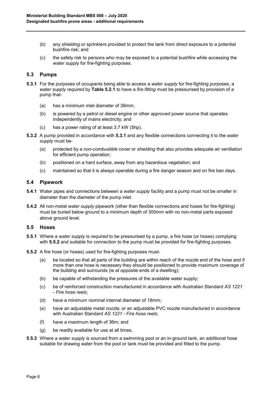- (b) any *shielding* or sprinklers provided to protect the tank from direct exposure to a potential bushfire risk; and
- (c) the safety risk to persons who may be exposed to a potential bushfire while accessing the *water supply* for fire-fighting purposes.

#### **5.3 Pumps**

- **5.3.1** For the purposes of occupants being able to access a *water supply* for fire-fighting purposes, a *water supply required* by **Table 5.2.1** to have a *fire fitting* must be pressurised by provision of a pump that-
	- (a) has a minimum inlet diameter of 38mm;
	- (b) is powered by a petrol or diesel engine or other *approved* power source that operates independently of mains electricity; and
	- (c) has a power rating of at least 3.7 kW (5hp).
- **5.3.2** A pump provided in accordance with **5.3.1** and any flexible connections connecting it to the *water supply* must be-
	- (a) protected by a *non-combustible* cover or *shielding* that also provides adequate air ventilation for efficient pump operation;
	- (b) positioned on a hard surface, away from any hazardous vegetation; and
	- (c) maintained so that it is always operable during a fire danger season and on fire ban days.

#### **5.4 Pipework**

- **5.4.1** Water pipes and connections between a *water supply* facility and a pump must not be smaller in diameter than the diameter of the pump inlet.
- **5.4.2** All non-metal *water supply* pipework (other than flexible connections and hoses for fire-fighting) must be buried below ground to a minimum depth of 300mm with no non-metal parts exposed above ground level.

#### **5.5 Hoses**

- **5.5.1** Where a *water supply* is *required* to be pressurised by a pump, a fire hose (or hoses) complying with **5.5.2** and suitable for connection to the pump must be provided for fire-fighting purposes.
- **5.5.2** A fire hose (or hoses) used for fire-fighting purposes must-
	- (a) be located so that all parts of the building are within reach of the nozzle end of the hose and if more than one hose is necessary they should be positioned to provide maximum coverage of the building and surrounds (ie at opposite ends of a dwelling);
	- (b) be capable of withstanding the pressures of the available water supply;
	- (c) be of reinforced construction manufactured in accordance with Australian Standard *AS 1221 - Fire hose reels*;
	- (d) have a minimum nominal internal diameter of 18mm;
	- (e) have an adjustable metal nozzle; or an adjustable PVC nozzle manufactured in accordance with Australian Standard *AS 1221 - Fire hose reels*;
	- (f) have a maximum length of 36m; and
	- (g) be readily available for use at all times.
- **5.5.3** Where a *water supply* is sourced from a swimming pool or an in-ground tank, an additional hose suitable for drawing water from the pool or tank must be provided and fitted to the pump.